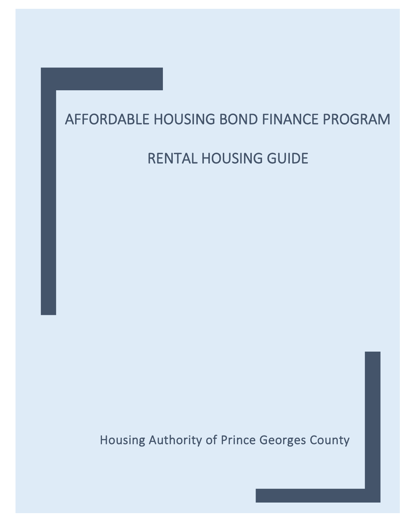# AFFORDABLE HOUSING BOND FINANCE PROGRAM

# RENTAL HOUSING GUIDE

Housing Authority of Prince Georges County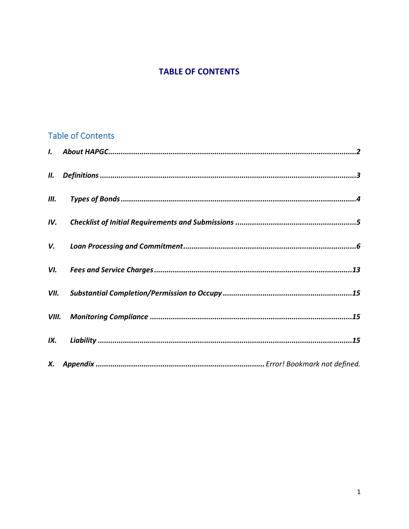## **TABLE OF CONTENTS**

## **Table of Contents**

| IV. |  |
|-----|--|
|     |  |
|     |  |
|     |  |
|     |  |
|     |  |
|     |  |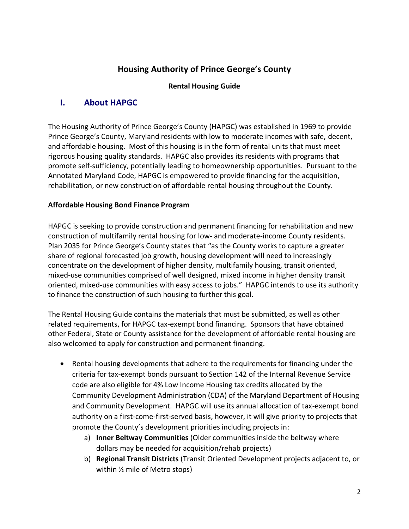## **Housing Authority of Prince George's County**

#### **Rental Housing Guide**

## <span id="page-2-0"></span>**I. About HAPGC**

The Housing Authority of Prince George's County (HAPGC) was established in 1969 to provide Prince George's County, Maryland residents with low to moderate incomes with safe, decent, and affordable housing. Most of this housing is in the form of rental units that must meet rigorous housing quality standards. HAPGC also provides its residents with programs that promote self-sufficiency, potentially leading to homeownership opportunities. Pursuant to the Annotated Maryland Code, HAPGC is empowered to provide financing for the acquisition, rehabilitation, or new construction of affordable rental housing throughout the County.

#### **Affordable Housing Bond Finance Program**

HAPGC is seeking to provide construction and permanent financing for rehabilitation and new construction of multifamily rental housing for low- and moderate-income County residents. Plan 2035 for Prince George's County states that "as the County works to capture a greater share of regional forecasted job growth, housing development will need to increasingly concentrate on the development of higher density, multifamily housing, transit oriented, mixed-use communities comprised of well designed, mixed income in higher density transit oriented, mixed-use communities with easy access to jobs." HAPGC intends to use its authority to finance the construction of such housing to further this goal.

The Rental Housing Guide contains the materials that must be submitted, as well as other related requirements, for HAPGC tax-exempt bond financing. Sponsors that have obtained other Federal, State or County assistance for the development of affordable rental housing are also welcomed to apply for construction and permanent financing.

- Rental housing developments that adhere to the requirements for financing under the criteria for tax-exempt bonds pursuant to Section 142 of the Internal Revenue Service code are also eligible for 4% Low Income Housing tax credits allocated by the Community Development Administration (CDA) of the Maryland Department of Housing and Community Development. HAPGC will use its annual allocation of tax-exempt bond authority on a first-come-first-served basis, however, it will give priority to projects that promote the County's development priorities including projects in:
	- a) **Inner Beltway Communities** (Older communities inside the beltway where dollars may be needed for acquisition/rehab projects)
	- b) **Regional Transit Districts** (Transit Oriented Development projects adjacent to, or within ½ mile of Metro stops)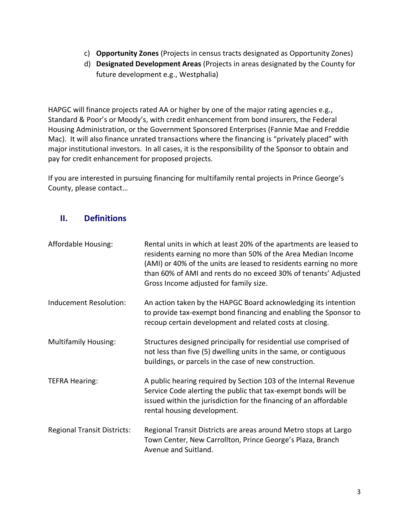- c) **Opportunity Zones** (Projects in census tracts designated as Opportunity Zones)
- d) **Designated Development Areas** (Projects in areas designated by the County for future development e.g., Westphalia)

HAPGC will finance projects rated AA or higher by one of the major rating agencies e.g., Standard & Poor's or Moody's, with credit enhancement from bond insurers, the Federal Housing Administration, or the Government Sponsored Enterprises (Fannie Mae and Freddie Mac). It will also finance unrated transactions where the financing is "privately placed" with major institutional investors. In all cases, it is the responsibility of the Sponsor to obtain and pay for credit enhancement for proposed projects.

If you are interested in pursuing financing for multifamily rental projects in Prince George's County, please contact…

## <span id="page-3-0"></span>**II. Definitions**

| Affordable Housing:                | Rental units in which at least 20% of the apartments are leased to<br>residents earning no more than 50% of the Area Median Income<br>(AMI) or 40% of the units are leased to residents earning no more<br>than 60% of AMI and rents do no exceed 30% of tenants' Adjusted<br>Gross Income adjusted for family size. |
|------------------------------------|----------------------------------------------------------------------------------------------------------------------------------------------------------------------------------------------------------------------------------------------------------------------------------------------------------------------|
| Inducement Resolution:             | An action taken by the HAPGC Board acknowledging its intention<br>to provide tax-exempt bond financing and enabling the Sponsor to<br>recoup certain development and related costs at closing.                                                                                                                       |
| <b>Multifamily Housing:</b>        | Structures designed principally for residential use comprised of<br>not less than five (5) dwelling units in the same, or contiguous<br>buildings, or parcels in the case of new construction.                                                                                                                       |
| <b>TEFRA Hearing:</b>              | A public hearing required by Section 103 of the Internal Revenue<br>Service Code alerting the public that tax-exempt bonds will be<br>issued within the jurisdiction for the financing of an affordable<br>rental housing development.                                                                               |
| <b>Regional Transit Districts:</b> | Regional Transit Districts are areas around Metro stops at Largo<br>Town Center, New Carrollton, Prince George's Plaza, Branch<br>Avenue and Suitland.                                                                                                                                                               |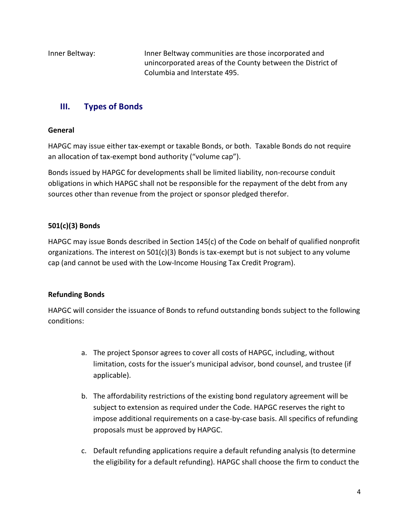Inner Beltway: Inner Beltway communities are those incorporated and unincorporated areas of the County between the District of Columbia and Interstate 495.

## <span id="page-4-0"></span>**III. Types of Bonds**

#### **General**

HAPGC may issue either tax-exempt or taxable Bonds, or both. Taxable Bonds do not require an allocation of tax-exempt bond authority ("volume cap").

Bonds issued by HAPGC for developments shall be limited liability, non-recourse conduit obligations in which HAPGC shall not be responsible for the repayment of the debt from any sources other than revenue from the project or sponsor pledged therefor.

## **501(c)(3) Bonds**

HAPGC may issue Bonds described in Section 145(c) of the Code on behalf of qualified nonprofit organizations. The interest on  $501(c)(3)$  Bonds is tax-exempt but is not subject to any volume cap (and cannot be used with the Low-Income Housing Tax Credit Program).

### **Refunding Bonds**

HAPGC will consider the issuance of Bonds to refund outstanding bonds subject to the following conditions:

- a. The project Sponsor agrees to cover all costs of HAPGC, including, without limitation, costs for the issuer's municipal advisor, bond counsel, and trustee (if applicable).
- b. The affordability restrictions of the existing bond regulatory agreement will be subject to extension as required under the Code. HAPGC reserves the right to impose additional requirements on a case-by-case basis. All specifics of refunding proposals must be approved by HAPGC.
- c. Default refunding applications require a default refunding analysis (to determine the eligibility for a default refunding). HAPGC shall choose the firm to conduct the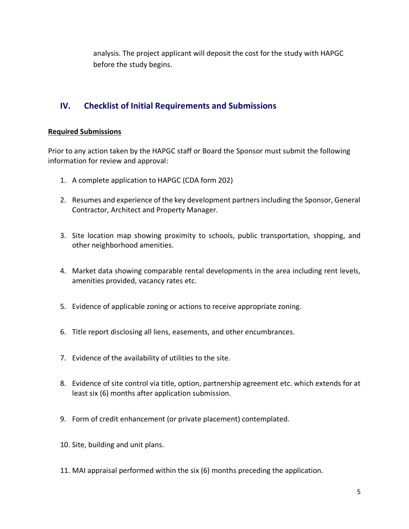analysis. The project applicant will deposit the cost for the study with HAPGC before the study begins.

## <span id="page-5-0"></span>**IV. Checklist of Initial Requirements and Submissions**

#### **Required Submissions**

Prior to any action taken by the HAPGC staff or Board the Sponsor must submit the following information for review and approval:

- 1. A complete application to HAPGC (CDA form 202)
- 2. Resumes and experience of the key development partners including the Sponsor, General Contractor, Architect and Property Manager.
- 3. Site location map showing proximity to schools, public transportation, shopping, and other neighborhood amenities.
- 4. Market data showing comparable rental developments in the area including rent levels, amenities provided, vacancy rates etc.
- 5. Evidence of applicable zoning or actions to receive appropriate zoning.
- 6. Title report disclosing all liens, easements, and other encumbrances.
- 7. Evidence of the availability of utilities to the site.
- 8. Evidence of site control via title, option, partnership agreement etc. which extends for at least six (6) months after application submission.
- 9. Form of credit enhancement (or private placement) contemplated.
- 10. Site, building and unit plans.
- 11. MAI appraisal performed within the six (6) months preceding the application.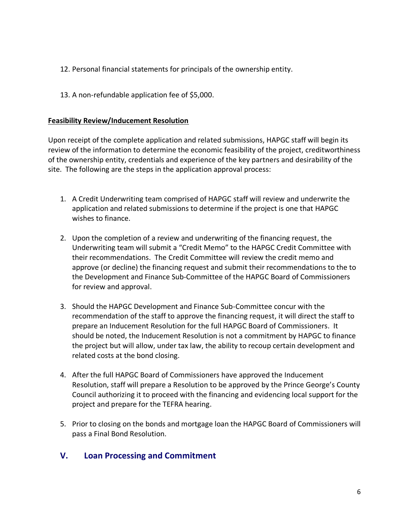- 12. Personal financial statements for principals of the ownership entity.
- 13. A non-refundable application fee of \$5,000.

#### **Feasibility Review/Inducement Resolution**

Upon receipt of the complete application and related submissions, HAPGC staff will begin its review of the information to determine the economic feasibility of the project, creditworthiness of the ownership entity, credentials and experience of the key partners and desirability of the site. The following are the steps in the application approval process:

- 1. A Credit Underwriting team comprised of HAPGC staff will review and underwrite the application and related submissions to determine if the project is one that HAPGC wishes to finance.
- 2. Upon the completion of a review and underwriting of the financing request, the Underwriting team will submit a "Credit Memo" to the HAPGC Credit Committee with their recommendations. The Credit Committee will review the credit memo and approve (or decline) the financing request and submit their recommendations to the to the Development and Finance Sub-Committee of the HAPGC Board of Commissioners for review and approval.
- 3. Should the HAPGC Development and Finance Sub-Committee concur with the recommendation of the staff to approve the financing request, it will direct the staff to prepare an Inducement Resolution for the full HAPGC Board of Commissioners. It should be noted, the Inducement Resolution is not a commitment by HAPGC to finance the project but will allow, under tax law, the ability to recoup certain development and related costs at the bond closing.
- 4. After the full HAPGC Board of Commissioners have approved the Inducement Resolution, staff will prepare a Resolution to be approved by the Prince George's County Council authorizing it to proceed with the financing and evidencing local support for the project and prepare for the TEFRA hearing.
- 5. Prior to closing on the bonds and mortgage loan the HAPGC Board of Commissioners will pass a Final Bond Resolution.

### <span id="page-6-0"></span>**V. Loan Processing and Commitment**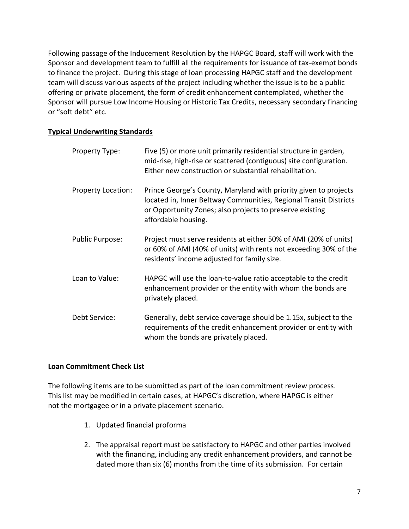Following passage of the Inducement Resolution by the HAPGC Board, staff will work with the Sponsor and development team to fulfill all the requirements for issuance of tax-exempt bonds to finance the project. During this stage of loan processing HAPGC staff and the development team will discuss various aspects of the project including whether the issue is to be a public offering or private placement, the form of credit enhancement contemplated, whether the Sponsor will pursue Low Income Housing or Historic Tax Credits, necessary secondary financing or "soft debt" etc.

#### **Typical Underwriting Standards**

| Property Type:         | Five (5) or more unit primarily residential structure in garden,<br>mid-rise, high-rise or scattered (contiguous) site configuration.<br>Either new construction or substantial rehabilitation.                          |
|------------------------|--------------------------------------------------------------------------------------------------------------------------------------------------------------------------------------------------------------------------|
| Property Location:     | Prince George's County, Maryland with priority given to projects<br>located in, Inner Beltway Communities, Regional Transit Districts<br>or Opportunity Zones; also projects to preserve existing<br>affordable housing. |
| <b>Public Purpose:</b> | Project must serve residents at either 50% of AMI (20% of units)<br>or 60% of AMI (40% of units) with rents not exceeding 30% of the<br>residents' income adjusted for family size.                                      |
| Loan to Value:         | HAPGC will use the loan-to-value ratio acceptable to the credit<br>enhancement provider or the entity with whom the bonds are<br>privately placed.                                                                       |
| Debt Service:          | Generally, debt service coverage should be 1.15x, subject to the<br>requirements of the credit enhancement provider or entity with<br>whom the bonds are privately placed.                                               |

#### **Loan Commitment Check List**

The following items are to be submitted as part of the loan commitment review process. This list may be modified in certain cases, at HAPGC's discretion, where HAPGC is either not the mortgagee or in a private placement scenario.

- 1. Updated financial proforma
- 2. The appraisal report must be satisfactory to HAPGC and other parties involved with the financing, including any credit enhancement providers, and cannot be dated more than six (6) months from the time of its submission. For certain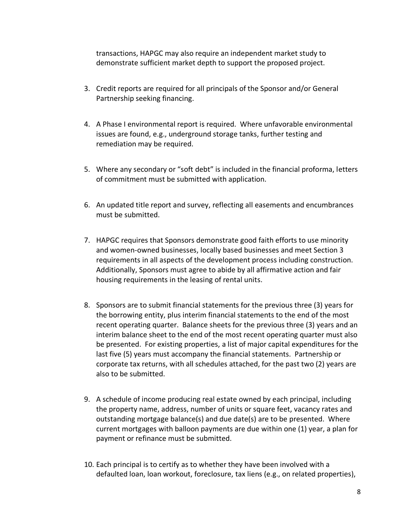transactions, HAPGC may also require an independent market study to demonstrate sufficient market depth to support the proposed project.

- 3. Credit reports are required for all principals of the Sponsor and/or General Partnership seeking financing.
- 4. A Phase I environmental report is required. Where unfavorable environmental issues are found, e.g., underground storage tanks, further testing and remediation may be required.
- 5. Where any secondary or "soft debt" is included in the financial proforma, letters of commitment must be submitted with application.
- 6. An updated title report and survey, reflecting all easements and encumbrances must be submitted.
- 7. HAPGC requires that Sponsors demonstrate good faith efforts to use minority and women-owned businesses, locally based businesses and meet Section 3 requirements in all aspects of the development process including construction. Additionally, Sponsors must agree to abide by all affirmative action and fair housing requirements in the leasing of rental units.
- 8. Sponsors are to submit financial statements for the previous three (3) years for the borrowing entity, plus interim financial statements to the end of the most recent operating quarter. Balance sheets for the previous three (3) years and an interim balance sheet to the end of the most recent operating quarter must also be presented. For existing properties, a list of major capital expenditures for the last five (5) years must accompany the financial statements. Partnership or corporate tax returns, with all schedules attached, for the past two (2) years are also to be submitted.
- 9. A schedule of income producing real estate owned by each principal, including the property name, address, number of units or square feet, vacancy rates and outstanding mortgage balance(s) and due date(s) are to be presented. Where current mortgages with balloon payments are due within one (1) year, a plan for payment or refinance must be submitted.
- 10. Each principal is to certify as to whether they have been involved with a defaulted loan, loan workout, foreclosure, tax liens (e.g., on related properties),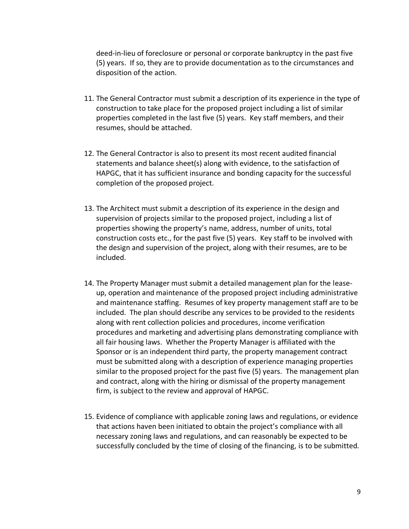deed-in-lieu of foreclosure or personal or corporate bankruptcy in the past five (5) years. If so, they are to provide documentation as to the circumstances and disposition of the action.

- 11. The General Contractor must submit a description of its experience in the type of construction to take place for the proposed project including a list of similar properties completed in the last five (5) years. Key staff members, and their resumes, should be attached.
- 12. The General Contractor is also to present its most recent audited financial statements and balance sheet(s) along with evidence, to the satisfaction of HAPGC, that it has sufficient insurance and bonding capacity for the successful completion of the proposed project.
- 13. The Architect must submit a description of its experience in the design and supervision of projects similar to the proposed project, including a list of properties showing the property's name, address, number of units, total construction costs etc., for the past five (5) years. Key staff to be involved with the design and supervision of the project, along with their resumes, are to be included.
- 14. The Property Manager must submit a detailed management plan for the leaseup, operation and maintenance of the proposed project including administrative and maintenance staffing. Resumes of key property management staff are to be included. The plan should describe any services to be provided to the residents along with rent collection policies and procedures, income verification procedures and marketing and advertising plans demonstrating compliance with all fair housing laws. Whether the Property Manager is affiliated with the Sponsor or is an independent third party, the property management contract must be submitted along with a description of experience managing properties similar to the proposed project for the past five (5) years. The management plan and contract, along with the hiring or dismissal of the property management firm, is subject to the review and approval of HAPGC.
- 15. Evidence of compliance with applicable zoning laws and regulations, or evidence that actions haven been initiated to obtain the project's compliance with all necessary zoning laws and regulations, and can reasonably be expected to be successfully concluded by the time of closing of the financing, is to be submitted.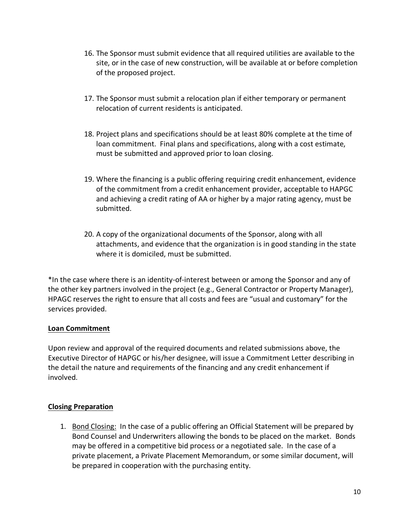- 16. The Sponsor must submit evidence that all required utilities are available to the site, or in the case of new construction, will be available at or before completion of the proposed project.
- 17. The Sponsor must submit a relocation plan if either temporary or permanent relocation of current residents is anticipated.
- 18. Project plans and specifications should be at least 80% complete at the time of loan commitment. Final plans and specifications, along with a cost estimate, must be submitted and approved prior to loan closing.
- 19. Where the financing is a public offering requiring credit enhancement, evidence of the commitment from a credit enhancement provider, acceptable to HAPGC and achieving a credit rating of AA or higher by a major rating agency, must be submitted.
- 20. A copy of the organizational documents of the Sponsor, along with all attachments, and evidence that the organization is in good standing in the state where it is domiciled, must be submitted.

\*In the case where there is an identity-of-interest between or among the Sponsor and any of the other key partners involved in the project (e.g., General Contractor or Property Manager), HPAGC reserves the right to ensure that all costs and fees are "usual and customary" for the services provided.

#### **Loan Commitment**

Upon review and approval of the required documents and related submissions above, the Executive Director of HAPGC or his/her designee, will issue a Commitment Letter describing in the detail the nature and requirements of the financing and any credit enhancement if involved.

#### **Closing Preparation**

1. Bond Closing: In the case of a public offering an Official Statement will be prepared by Bond Counsel and Underwriters allowing the bonds to be placed on the market. Bonds may be offered in a competitive bid process or a negotiated sale. In the case of a private placement, a Private Placement Memorandum, or some similar document, will be prepared in cooperation with the purchasing entity.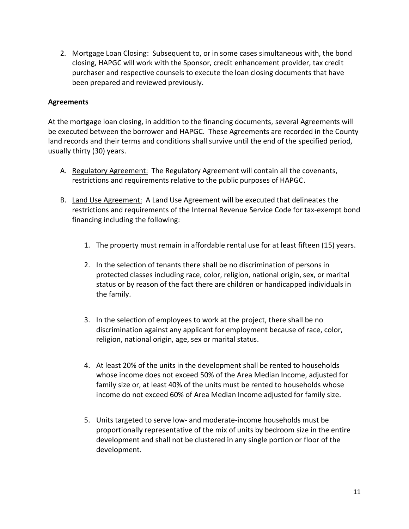2. Mortgage Loan Closing: Subsequent to, or in some cases simultaneous with, the bond closing, HAPGC will work with the Sponsor, credit enhancement provider, tax credit purchaser and respective counsels to execute the loan closing documents that have been prepared and reviewed previously.

#### **Agreements**

At the mortgage loan closing, in addition to the financing documents, several Agreements will be executed between the borrower and HAPGC. These Agreements are recorded in the County land records and their terms and conditions shall survive until the end of the specified period, usually thirty (30) years.

- A. Regulatory Agreement: The Regulatory Agreement will contain all the covenants, restrictions and requirements relative to the public purposes of HAPGC.
- B. Land Use Agreement: A Land Use Agreement will be executed that delineates the restrictions and requirements of the Internal Revenue Service Code for tax-exempt bond financing including the following:
	- 1. The property must remain in affordable rental use for at least fifteen (15) years.
	- 2. In the selection of tenants there shall be no discrimination of persons in protected classes including race, color, religion, national origin, sex, or marital status or by reason of the fact there are children or handicapped individuals in the family.
	- 3. In the selection of employees to work at the project, there shall be no discrimination against any applicant for employment because of race, color, religion, national origin, age, sex or marital status.
	- 4. At least 20% of the units in the development shall be rented to households whose income does not exceed 50% of the Area Median Income, adjusted for family size or, at least 40% of the units must be rented to households whose income do not exceed 60% of Area Median Income adjusted for family size.
	- 5. Units targeted to serve low- and moderate-income households must be proportionally representative of the mix of units by bedroom size in the entire development and shall not be clustered in any single portion or floor of the development.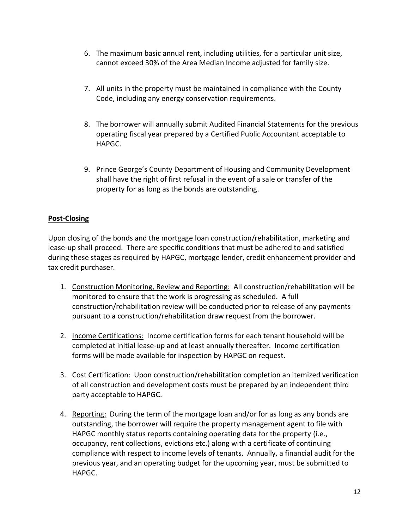- 6. The maximum basic annual rent, including utilities, for a particular unit size, cannot exceed 30% of the Area Median Income adjusted for family size.
- 7. All units in the property must be maintained in compliance with the County Code, including any energy conservation requirements.
- 8. The borrower will annually submit Audited Financial Statements for the previous operating fiscal year prepared by a Certified Public Accountant acceptable to HAPGC.
- 9. Prince George's County Department of Housing and Community Development shall have the right of first refusal in the event of a sale or transfer of the property for as long as the bonds are outstanding.

#### **Post-Closing**

Upon closing of the bonds and the mortgage loan construction/rehabilitation, marketing and lease-up shall proceed. There are specific conditions that must be adhered to and satisfied during these stages as required by HAPGC, mortgage lender, credit enhancement provider and tax credit purchaser.

- 1. Construction Monitoring, Review and Reporting: All construction/rehabilitation will be monitored to ensure that the work is progressing as scheduled. A full construction/rehabilitation review will be conducted prior to release of any payments pursuant to a construction/rehabilitation draw request from the borrower.
- 2. Income Certifications: Income certification forms for each tenant household will be completed at initial lease-up and at least annually thereafter. Income certification forms will be made available for inspection by HAPGC on request.
- 3. Cost Certification: Upon construction/rehabilitation completion an itemized verification of all construction and development costs must be prepared by an independent third party acceptable to HAPGC.
- 4. Reporting: During the term of the mortgage loan and/or for as long as any bonds are outstanding, the borrower will require the property management agent to file with HAPGC monthly status reports containing operating data for the property (i.e., occupancy, rent collections, evictions etc.) along with a certificate of continuing compliance with respect to income levels of tenants. Annually, a financial audit for the previous year, and an operating budget for the upcoming year, must be submitted to HAPGC.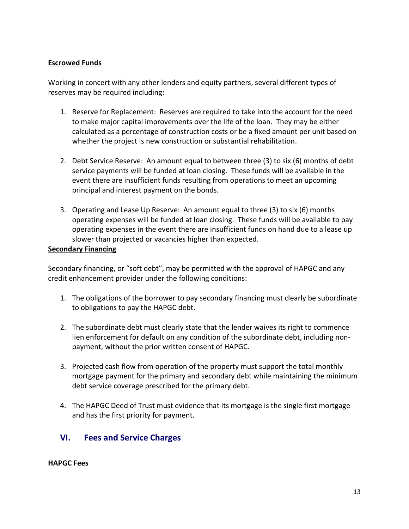#### **Escrowed Funds**

Working in concert with any other lenders and equity partners, several different types of reserves may be required including:

- 1. Reserve for Replacement: Reserves are required to take into the account for the need to make major capital improvements over the life of the loan. They may be either calculated as a percentage of construction costs or be a fixed amount per unit based on whether the project is new construction or substantial rehabilitation.
- 2. Debt Service Reserve: An amount equal to between three (3) to six (6) months of debt service payments will be funded at loan closing. These funds will be available in the event there are insufficient funds resulting from operations to meet an upcoming principal and interest payment on the bonds.
- 3. Operating and Lease Up Reserve: An amount equal to three (3) to six (6) months operating expenses will be funded at loan closing. These funds will be available to pay operating expenses in the event there are insufficient funds on hand due to a lease up slower than projected or vacancies higher than expected.

#### **Secondary Financing**

Secondary financing, or "soft debt", may be permitted with the approval of HAPGC and any credit enhancement provider under the following conditions:

- 1. The obligations of the borrower to pay secondary financing must clearly be subordinate to obligations to pay the HAPGC debt.
- 2. The subordinate debt must clearly state that the lender waives its right to commence lien enforcement for default on any condition of the subordinate debt, including nonpayment, without the prior written consent of HAPGC.
- 3. Projected cash flow from operation of the property must support the total monthly mortgage payment for the primary and secondary debt while maintaining the minimum debt service coverage prescribed for the primary debt.
- 4. The HAPGC Deed of Trust must evidence that its mortgage is the single first mortgage and has the first priority for payment.

## <span id="page-13-0"></span>**VI. Fees and Service Charges**

#### **HAPGC Fees**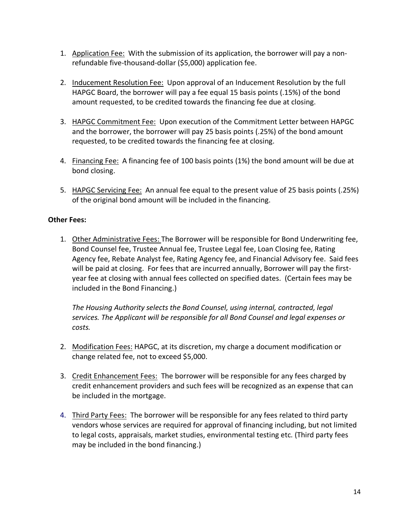- 1. Application Fee: With the submission of its application, the borrower will pay a nonrefundable five-thousand-dollar (\$5,000) application fee.
- 2. Inducement Resolution Fee: Upon approval of an Inducement Resolution by the full HAPGC Board, the borrower will pay a fee equal 15 basis points (.15%) of the bond amount requested, to be credited towards the financing fee due at closing.
- 3. HAPGC Commitment Fee: Upon execution of the Commitment Letter between HAPGC and the borrower, the borrower will pay 25 basis points (.25%) of the bond amount requested, to be credited towards the financing fee at closing.
- 4. Financing Fee: A financing fee of 100 basis points (1%) the bond amount will be due at bond closing.
- 5. HAPGC Servicing Fee: An annual fee equal to the present value of 25 basis points (.25%) of the original bond amount will be included in the financing.

#### **Other Fees:**

1. Other Administrative Fees: The Borrower will be responsible for Bond Underwriting fee, Bond Counsel fee, Trustee Annual fee, Trustee Legal fee, Loan Closing fee, Rating Agency fee, Rebate Analyst fee, Rating Agency fee, and Financial Advisory fee. Said fees will be paid at closing. For fees that are incurred annually, Borrower will pay the firstyear fee at closing with annual fees collected on specified dates. (Certain fees may be included in the Bond Financing.)

*The Housing Authority selects the Bond Counsel, using internal, contracted, legal services. The Applicant will be responsible for all Bond Counsel and legal expenses or costs.*

- 2. Modification Fees: HAPGC, at its discretion, my charge a document modification or change related fee, not to exceed \$5,000.
- 3. Credit Enhancement Fees: The borrower will be responsible for any fees charged by credit enhancement providers and such fees will be recognized as an expense that can be included in the mortgage.
- 4. Third Party Fees: The borrower will be responsible for any fees related to third party vendors whose services are required for approval of financing including, but not limited to legal costs, appraisals, market studies, environmental testing etc. (Third party fees may be included in the bond financing.)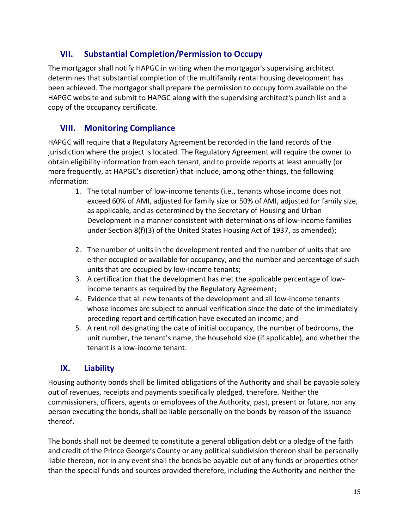## <span id="page-15-0"></span>**VII. Substantial Completion/Permission to Occupy**

The mortgagor shall notify HAPGC in writing when the mortgagor's supervising architect determines that substantial completion of the multifamily rental housing development has been achieved. The mortgagor shall prepare the permission to occupy form available on the HAPGC website and submit to HAPGC along with the supervising architect's punch list and a copy of the occupancy certificate.

## <span id="page-15-1"></span>**VIII. Monitoring Compliance**

HAPGC will require that a Regulatory Agreement be recorded in the land records of the jurisdiction where the project is located. The Regulatory Agreement will require the owner to obtain eligibility information from each tenant, and to provide reports at least annually (or more frequently, at HAPGC's discretion) that include, among other things, the following information:

- 1. The total number of low-income tenants (i.e., tenants whose income does not exceed 60% of AMI, adjusted for family size or 50% of AMI, adjusted for family size, as applicable, and as determined by the Secretary of Housing and Urban Development in a manner consistent with determinations of low-income families under Section 8(f)(3) of the United States Housing Act of 1937, as amended);
- 2. The number of units in the development rented and the number of units that are either occupied or available for occupancy, and the number and percentage of such units that are occupied by low-income tenants;
- 3. A certification that the development has met the applicable percentage of lowincome tenants as required by the Regulatory Agreement;
- 4. Evidence that all new tenants of the development and all low-income tenants whose incomes are subject to annual verification since the date of the immediately preceding report and certification have executed an income; and
- 5. A rent roll designating the date of initial occupancy, the number of bedrooms, the unit number, the tenant's name, the household size (if applicable), and whether the tenant is a low-income tenant.

## <span id="page-15-2"></span>**IX. Liability**

Housing authority bonds shall be limited obligations of the Authority and shall be payable solely out of revenues, receipts and payments specifically pledged, therefore. Neither the commissioners, officers, agents or employees of the Authority, past, present or future, nor any person executing the bonds, shall be liable personally on the bonds by reason of the issuance thereof.

The bonds shall not be deemed to constitute a general obligation debt or a pledge of the faith and credit of the Prince George's County or any political subdivision thereon shall be personally liable thereon, nor in any event shall the bonds be payable out of any funds or properties other than the special funds and sources provided therefore, including the Authority and neither the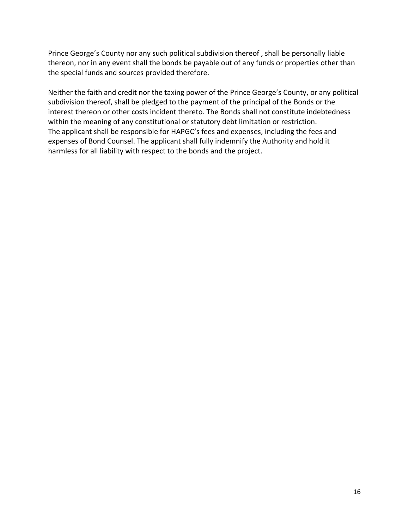Prince George's County nor any such political subdivision thereof , shall be personally liable thereon, nor in any event shall the bonds be payable out of any funds or properties other than the special funds and sources provided therefore.

Neither the faith and credit nor the taxing power of the Prince George's County, or any political subdivision thereof, shall be pledged to the payment of the principal of the Bonds or the interest thereon or other costs incident thereto. The Bonds shall not constitute indebtedness within the meaning of any constitutional or statutory debt limitation or restriction. The applicant shall be responsible for HAPGC's fees and expenses, including the fees and expenses of Bond Counsel. The applicant shall fully indemnify the Authority and hold it harmless for all liability with respect to the bonds and the project.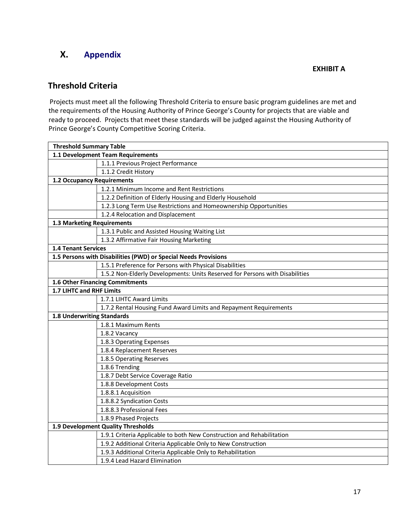## **X. Appendix**

#### **EXHIBIT A**

## **Threshold Criteria**

Projects must meet all the following Threshold Criteria to ensure basic program guidelines are met and the requirements of the Housing Authority of Prince George's County for projects that are viable and ready to proceed. Projects that meet these standards will be judged against the Housing Authority of Prince George's County Competitive Scoring Criteria.

| <b>Threshold Summary Table</b>                                  |                                                                              |  |
|-----------------------------------------------------------------|------------------------------------------------------------------------------|--|
| 1.1 Development Team Requirements                               |                                                                              |  |
| 1.1.1 Previous Project Performance                              |                                                                              |  |
| 1.1.2 Credit History                                            |                                                                              |  |
| 1.2 Occupancy Requirements                                      |                                                                              |  |
| 1.2.1 Minimum Income and Rent Restrictions                      |                                                                              |  |
| 1.2.2 Definition of Elderly Housing and Elderly Household       |                                                                              |  |
|                                                                 | 1.2.3 Long Term Use Restrictions and Homeownership Opportunities             |  |
| 1.2.4 Relocation and Displacement                               |                                                                              |  |
| <b>1.3 Marketing Requirements</b>                               |                                                                              |  |
| 1.3.1 Public and Assisted Housing Waiting List                  |                                                                              |  |
| 1.3.2 Affirmative Fair Housing Marketing                        |                                                                              |  |
| <b>1.4 Tenant Services</b>                                      |                                                                              |  |
| 1.5 Persons with Disabilities (PWD) or Special Needs Provisions |                                                                              |  |
| 1.5.1 Preference for Persons with Physical Disabilities         |                                                                              |  |
|                                                                 | 1.5.2 Non-Elderly Developments: Units Reserved for Persons with Disabilities |  |
| 1.6 Other Financing Commitments                                 |                                                                              |  |
| 1.7 LIHTC and RHF Limits                                        |                                                                              |  |
| 1.7.1 LIHTC Award Limits                                        |                                                                              |  |
|                                                                 | 1.7.2 Rental Housing Fund Award Limits and Repayment Requirements            |  |
| <b>1.8 Underwriting Standards</b>                               |                                                                              |  |
| 1.8.1 Maximum Rents                                             |                                                                              |  |
| 1.8.2 Vacancy                                                   |                                                                              |  |
| 1.8.3 Operating Expenses                                        |                                                                              |  |
| 1.8.4 Replacement Reserves                                      |                                                                              |  |
| 1.8.5 Operating Reserves                                        |                                                                              |  |
| 1.8.6 Trending                                                  |                                                                              |  |
| 1.8.7 Debt Service Coverage Ratio                               |                                                                              |  |
| 1.8.8 Development Costs                                         |                                                                              |  |
| 1.8.8.1 Acquisition                                             |                                                                              |  |
| 1.8.8.2 Syndication Costs                                       |                                                                              |  |
| 1.8.8.3 Professional Fees                                       |                                                                              |  |
| 1.8.9 Phased Projects                                           |                                                                              |  |
| 1.9 Development Quality Thresholds                              |                                                                              |  |
|                                                                 | 1.9.1 Criteria Applicable to both New Construction and Rehabilitation        |  |
| 1.9.2 Additional Criteria Applicable Only to New Construction   |                                                                              |  |
| 1.9.3 Additional Criteria Applicable Only to Rehabilitation     |                                                                              |  |
| 1.9.4 Lead Hazard Elimination                                   |                                                                              |  |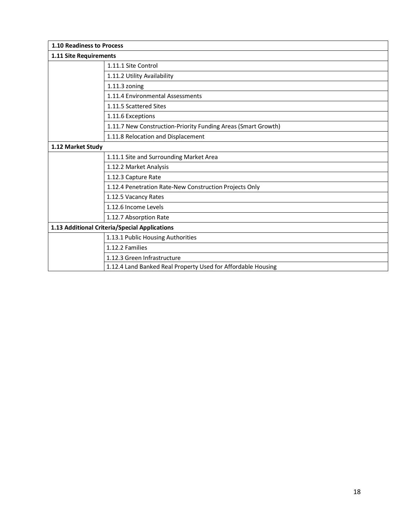| 1.10 Readiness to Process                     |                                                               |  |
|-----------------------------------------------|---------------------------------------------------------------|--|
| 1.11 Site Requirements                        |                                                               |  |
|                                               | 1.11.1 Site Control                                           |  |
|                                               | 1.11.2 Utility Availability                                   |  |
|                                               | $1.11.3$ zoning                                               |  |
|                                               | 1.11.4 Environmental Assessments                              |  |
|                                               | 1.11.5 Scattered Sites                                        |  |
|                                               | 1.11.6 Exceptions                                             |  |
|                                               | 1.11.7 New Construction-Priority Funding Areas (Smart Growth) |  |
|                                               | 1.11.8 Relocation and Displacement                            |  |
| 1.12 Market Study                             |                                                               |  |
|                                               | 1.11.1 Site and Surrounding Market Area                       |  |
|                                               | 1.12.2 Market Analysis                                        |  |
|                                               | 1.12.3 Capture Rate                                           |  |
|                                               | 1.12.4 Penetration Rate-New Construction Projects Only        |  |
|                                               | 1.12.5 Vacancy Rates                                          |  |
|                                               | 1.12.6 Income Levels                                          |  |
|                                               | 1.12.7 Absorption Rate                                        |  |
| 1.13 Additional Criteria/Special Applications |                                                               |  |
|                                               | 1.13.1 Public Housing Authorities                             |  |
|                                               | 1.12.2 Families                                               |  |
|                                               | 1.12.3 Green Infrastructure                                   |  |
|                                               | 1.12.4 Land Banked Real Property Used for Affordable Housing  |  |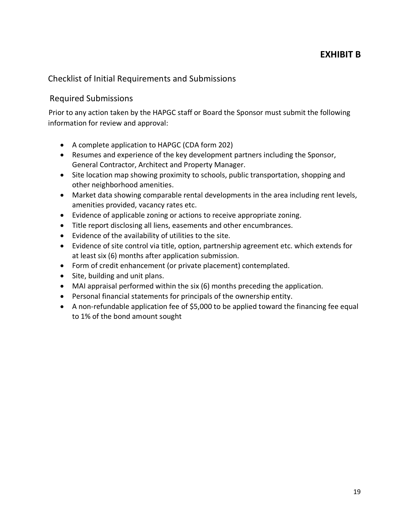## Checklist of Initial Requirements and Submissions

#### Required Submissions

Prior to any action taken by the HAPGC staff or Board the Sponsor must submit the following information for review and approval:

- A complete application to HAPGC (CDA form 202)
- Resumes and experience of the key development partners including the Sponsor, General Contractor, Architect and Property Manager.
- Site location map showing proximity to schools, public transportation, shopping and other neighborhood amenities.
- Market data showing comparable rental developments in the area including rent levels, amenities provided, vacancy rates etc.
- Evidence of applicable zoning or actions to receive appropriate zoning.
- Title report disclosing all liens, easements and other encumbrances.
- Evidence of the availability of utilities to the site.
- Evidence of site control via title, option, partnership agreement etc. which extends for at least six (6) months after application submission.
- Form of credit enhancement (or private placement) contemplated.
- Site, building and unit plans.
- MAI appraisal performed within the six (6) months preceding the application.
- Personal financial statements for principals of the ownership entity.
- A non-refundable application fee of \$5,000 to be applied toward the financing fee equal to 1% of the bond amount sought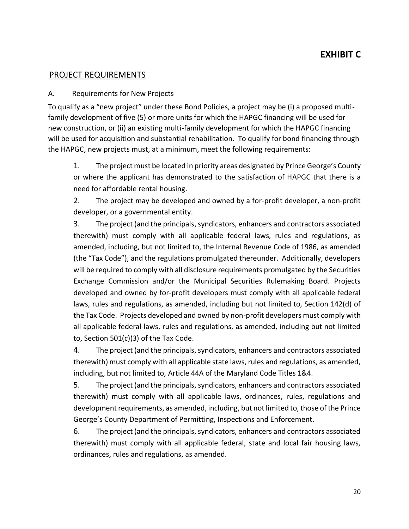### PROJECT REQUIREMENTS

#### A. Requirements for New Projects

To qualify as a "new project" under these Bond Policies, a project may be (i) a proposed multifamily development of five (5) or more units for which the HAPGC financing will be used for new construction, or (ii) an existing multi-family development for which the HAPGC financing will be used for acquisition and substantial rehabilitation. To qualify for bond financing through the HAPGC, new projects must, at a minimum, meet the following requirements:

1. The project must be located in priority areas designated by Prince George's County or where the applicant has demonstrated to the satisfaction of HAPGC that there is a need for affordable rental housing.

2. The project may be developed and owned by a for-profit developer, a non-profit developer, or a governmental entity.

3. The project (and the principals, syndicators, enhancers and contractors associated therewith) must comply with all applicable federal laws, rules and regulations, as amended, including, but not limited to, the Internal Revenue Code of 1986, as amended (the "Tax Code"), and the regulations promulgated thereunder. Additionally, developers will be required to comply with all disclosure requirements promulgated by the Securities Exchange Commission and/or the Municipal Securities Rulemaking Board. Projects developed and owned by for-profit developers must comply with all applicable federal laws, rules and regulations, as amended, including but not limited to, Section 142(d) of the Tax Code. Projects developed and owned by non-profit developers must comply with all applicable federal laws, rules and regulations, as amended, including but not limited to, Section 501(c)(3) of the Tax Code.

4. The project (and the principals, syndicators, enhancers and contractors associated therewith) must comply with all applicable state laws, rules and regulations, as amended, including, but not limited to, Article 44A of the Maryland Code Titles 1&4.

5. The project (and the principals, syndicators, enhancers and contractors associated therewith) must comply with all applicable laws, ordinances, rules, regulations and development requirements, as amended, including, but not limited to, those of the Prince George's County Department of Permitting, Inspections and Enforcement.

6. The project (and the principals, syndicators, enhancers and contractors associated therewith) must comply with all applicable federal, state and local fair housing laws, ordinances, rules and regulations, as amended.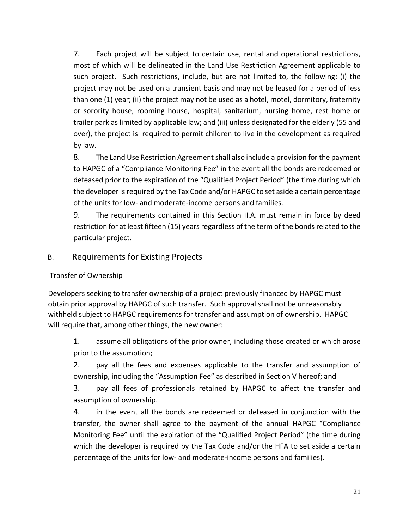7. Each project will be subject to certain use, rental and operational restrictions, most of which will be delineated in the Land Use Restriction Agreement applicable to such project. Such restrictions, include, but are not limited to, the following: (i) the project may not be used on a transient basis and may not be leased for a period of less than one (1) year; (ii) the project may not be used as a hotel, motel, dormitory, fraternity or sorority house, rooming house, hospital, sanitarium, nursing home, rest home or trailer park as limited by applicable law; and (iii) unless designated for the elderly (55 and over), the project is required to permit children to live in the development as required by law.

8. The Land Use Restriction Agreement shall also include a provision for the payment to HAPGC of a "Compliance Monitoring Fee" in the event all the bonds are redeemed or defeased prior to the expiration of the "Qualified Project Period" (the time during which the developer is required by the Tax Code and/or HAPGC to set aside a certain percentage of the units for low- and moderate-income persons and families.

9. The requirements contained in this Section II.A. must remain in force by deed restriction for at least fifteen (15) years regardless of the term of the bonds related to the particular project.

### B. Requirements for Existing Projects

#### Transfer of Ownership

Developers seeking to transfer ownership of a project previously financed by HAPGC must obtain prior approval by HAPGC of such transfer. Such approval shall not be unreasonably withheld subject to HAPGC requirements for transfer and assumption of ownership. HAPGC will require that, among other things, the new owner:

1. assume all obligations of the prior owner, including those created or which arose prior to the assumption;

2. pay all the fees and expenses applicable to the transfer and assumption of ownership, including the "Assumption Fee" as described in Section V hereof; and

3. pay all fees of professionals retained by HAPGC to affect the transfer and assumption of ownership.

4. in the event all the bonds are redeemed or defeased in conjunction with the transfer, the owner shall agree to the payment of the annual HAPGC "Compliance Monitoring Fee" until the expiration of the "Qualified Project Period" (the time during which the developer is required by the Tax Code and/or the HFA to set aside a certain percentage of the units for low- and moderate-income persons and families).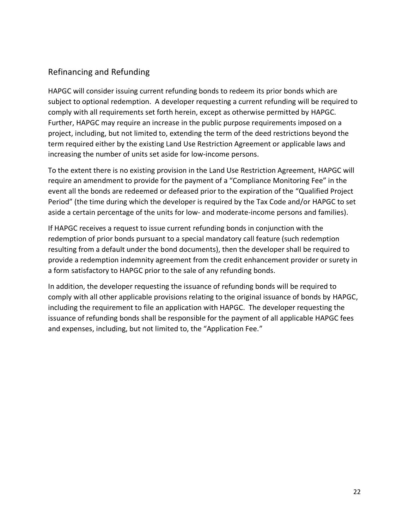## Refinancing and Refunding

HAPGC will consider issuing current refunding bonds to redeem its prior bonds which are subject to optional redemption. A developer requesting a current refunding will be required to comply with all requirements set forth herein, except as otherwise permitted by HAPGC. Further, HAPGC may require an increase in the public purpose requirements imposed on a project, including, but not limited to, extending the term of the deed restrictions beyond the term required either by the existing Land Use Restriction Agreement or applicable laws and increasing the number of units set aside for low-income persons.

To the extent there is no existing provision in the Land Use Restriction Agreement, HAPGC will require an amendment to provide for the payment of a "Compliance Monitoring Fee" in the event all the bonds are redeemed or defeased prior to the expiration of the "Qualified Project Period" (the time during which the developer is required by the Tax Code and/or HAPGC to set aside a certain percentage of the units for low- and moderate-income persons and families).

If HAPGC receives a request to issue current refunding bonds in conjunction with the redemption of prior bonds pursuant to a special mandatory call feature (such redemption resulting from a default under the bond documents), then the developer shall be required to provide a redemption indemnity agreement from the credit enhancement provider or surety in a form satisfactory to HAPGC prior to the sale of any refunding bonds.

In addition, the developer requesting the issuance of refunding bonds will be required to comply with all other applicable provisions relating to the original issuance of bonds by HAPGC, including the requirement to file an application with HAPGC. The developer requesting the issuance of refunding bonds shall be responsible for the payment of all applicable HAPGC fees and expenses, including, but not limited to, the "Application Fee."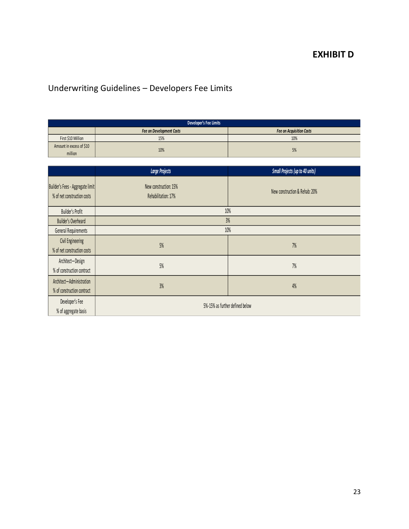## **EXHIBIT D**

# Underwriting Guidelines – Developers Fee Limits

| Developer's Fee Limits              |                                 |                                 |
|-------------------------------------|---------------------------------|---------------------------------|
|                                     | <b>Fee on Development Costs</b> | <b>Fee on Acquisition Costs</b> |
| First \$10 Million                  | 15%                             | 10%                             |
| Amount in excess of \$10<br>million | 10%                             | 5%                              |

|                                                                 | <b>Large Projects</b>                        | <b>Small Projects (up to 40 units)</b> |
|-----------------------------------------------------------------|----------------------------------------------|----------------------------------------|
| Builder's Fees - Aggregate limit<br>% of net construction costs | New construction: 15%<br>Rehabilitation: 17% | New construction & Rehab: 20%          |
| Builder's Profit                                                |                                              | 10%                                    |
| 3%<br>Builder's Overheard                                       |                                              |                                        |
| General Requirements                                            | 10%                                          |                                        |
| Civil Engineering<br>% of net construction costs                | 5%                                           | 7%                                     |
| Architect-Design<br>% of construction contract                  | 5%                                           | 7%                                     |
| Architect-Administration<br>% of construction contract          | 3%                                           | 4%                                     |
| Developer's Fee<br>% of aggregate basis                         | 5%-15% as further defined below              |                                        |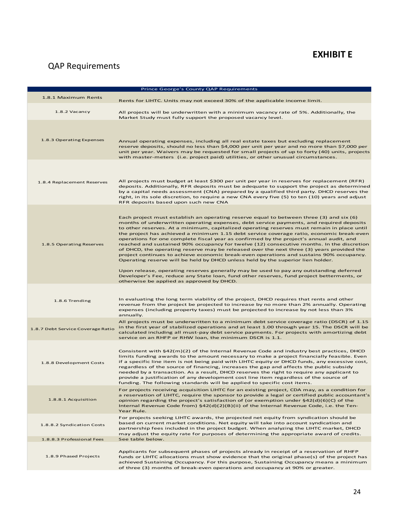## **EXHIBIT E**

# QAP Requirements

|                                   | Prince George's County QAP Requirements                                                                                                                                                                                                                                                                                                                                                                                                                                                                                                                                                                                                                                                                                                                                                                                                                                                                                                                                                                                                                                             |
|-----------------------------------|-------------------------------------------------------------------------------------------------------------------------------------------------------------------------------------------------------------------------------------------------------------------------------------------------------------------------------------------------------------------------------------------------------------------------------------------------------------------------------------------------------------------------------------------------------------------------------------------------------------------------------------------------------------------------------------------------------------------------------------------------------------------------------------------------------------------------------------------------------------------------------------------------------------------------------------------------------------------------------------------------------------------------------------------------------------------------------------|
| 1.8.1 Maximum Rents               | Rents for LIHTC. Units may not exceed 30% of the applicable income limit.                                                                                                                                                                                                                                                                                                                                                                                                                                                                                                                                                                                                                                                                                                                                                                                                                                                                                                                                                                                                           |
| 1.8.2 Vacancy                     | All projects will be underwritten with a minimum vacancy rate of 5%. Additionally, the<br>Market Study must fully support the proposed vacancy level.                                                                                                                                                                                                                                                                                                                                                                                                                                                                                                                                                                                                                                                                                                                                                                                                                                                                                                                               |
| 1.8.3 Operating Expenses          | Annual operating expenses, including all real estate taxes but excluding replacement<br>reserve deposits, should no less than \$4,000 per unit per year and no more than \$7,000 per<br>unit per year. Waivers may be requested for small projects of up to forty (40) units, projects<br>with master-meters (i.e. project paid) utilities, or other unusual circumstances.                                                                                                                                                                                                                                                                                                                                                                                                                                                                                                                                                                                                                                                                                                         |
| 1.8.4 Replacement Reserves        | All projects must budget at least \$300 per unit per year in reserves for replacement (RFR)<br>deposits. Additionally, RFR deposits must be adequate to support the project as determined<br>by a capital needs assessment (CNA) prepared by a qualified third party. DHCD reserves the<br>right, in its sole discretion, to require a new CNA every five (5) to ten (10) years and adjust<br>RFR deposits based upon such new CNA                                                                                                                                                                                                                                                                                                                                                                                                                                                                                                                                                                                                                                                  |
| 1.8.5 Operating Reserves          | Each project must establish an operating reserve equal to between three (3) and six (6)<br>months of underwritten operating expenses, debt service payments, and required deposits<br>to other reserves. At a minimum, capitalized operating reserves must remain in place until<br>the project has achieved a minimum 1.15 debt service coverage ratio, economic break-even<br>operations for one complete fiscal year as confirmed by the project's annual audit, and<br>reached and sustained 90% occupancy for twelve (12) consecutive months. In the discretion<br>of DHCD, the operating reserve may be released over the next three (3) years provided the<br>project continues to achieve economic break-even operations and sustains 90% occupancy.<br>Operating reserve will be held by DHCD unless held by the superior lien holder.<br>Upon release, operating reserves generally may be used to pay any outstanding deferred<br>Developer's Fee, reduce any State loan, fund other reserves, fund project betterments, or<br>otherwise be applied as approved by DHCD. |
|                                   |                                                                                                                                                                                                                                                                                                                                                                                                                                                                                                                                                                                                                                                                                                                                                                                                                                                                                                                                                                                                                                                                                     |
| 1.8.6 Trending                    | In evaluating the long term viability of the project, DHCD requires that rents and other<br>revenue from the project be projected to increase by no more than 2% annually. Operating<br>expenses (including property taxes) must be projected to increase by not less than 3%<br>annually.                                                                                                                                                                                                                                                                                                                                                                                                                                                                                                                                                                                                                                                                                                                                                                                          |
| 1.8.7 Debt Service Coverage Ratio | All projects must be underwritten to a minimum debt service coverage ratio (DSCR) of 1.15<br>in the first year of stabilized operations and at least 1.00 through year 15. The DSCR will be<br>calculated including all must-pay debt service payments. For projects with amortizing debt<br>service on an RHFP or RHW loan, the minimum DSCR is 1.1.                                                                                                                                                                                                                                                                                                                                                                                                                                                                                                                                                                                                                                                                                                                               |
| 1.8.8 Development Costs           | Consistent with $\frac{642(m)}{2}$ of the Internal Revenue Code and industry best practices, DHCD<br>limits funding awards to the amount necessary to make a project financially feasible. Even<br>if a specific line item is not being paid with LIHTC equity or DHCD funds, any excessive cost,<br>regardless of the source of financing, increases the gap and affects the public subsidy<br>needed by a transaction. As a result, DHCD reserves the right to require any applicant to<br>provide a justification of any development cost line item regardless of the source of<br>funding. The following standards will be applied to specific cost items.                                                                                                                                                                                                                                                                                                                                                                                                                      |
| 1.8.8.1 Acquisition               | For projects receiving acquisition LIHTC for an existing project, CDA may, as a condition for<br>a reservation of LIHTC, require the sponsor to provide a legal or certified public accountant's<br>opinion regarding the project's satisfaction of (or exemption under §42(d)(6)(C) of the<br>Internal Revenue Code from) §42(d)(2)(B)(ii) of the Internal Revenue Code, i.e. the Ten-<br>Year Rule.                                                                                                                                                                                                                                                                                                                                                                                                                                                                                                                                                                                                                                                                               |
| 1.8.8.2 Syndication Costs         | For projects seeking LIHTC awards, the projected net equity from syndication should be<br>based on current market conditions. Net equity will take into account syndication and<br>partnership fees included in the project budget. When analyzing the LIHTC market, DHCD<br>may adjust the equity rate for purposes of determining the appropriate award of credits.                                                                                                                                                                                                                                                                                                                                                                                                                                                                                                                                                                                                                                                                                                               |
| 1.8.8.3 Professional Fees         | See table below.                                                                                                                                                                                                                                                                                                                                                                                                                                                                                                                                                                                                                                                                                                                                                                                                                                                                                                                                                                                                                                                                    |
| 1.8.9 Phased Projects             | Applicants for subsequent phases of projects already in receipt of a reservation of RHFP<br>funds or LIHTC allocations must show evidence that the original phase(s) of the project has<br>achieved Sustaining Occupancy. For this purpose, Sustaining Occupancy means a minimum<br>of three (3) months of break-even operations and occupancy at 90% or greater.                                                                                                                                                                                                                                                                                                                                                                                                                                                                                                                                                                                                                                                                                                                   |